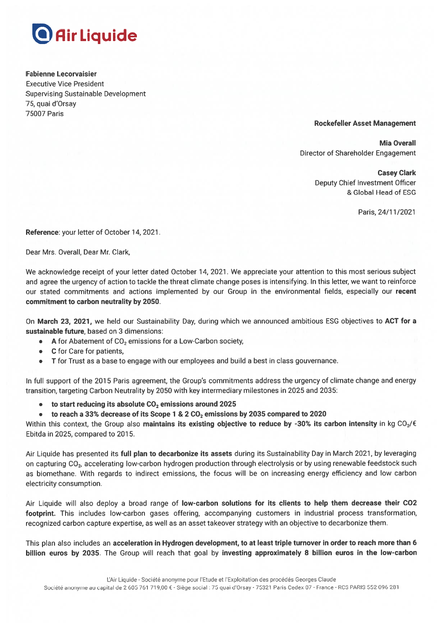

**Fabienne Lecorvaisier Executive Vice President Supervising Sustainable Development** 75, quai d'Orsay **75007 Paris** 

## **Rockefeller Asset Management**

**Mia Overall** Director of Shareholder Engagement

> **Casey Clark Deputy Chief Investment Officer** & Global Head of ESG

> > Paris. 24/11/2021

Reference: your letter of October 14, 2021.

Dear Mrs. Overall, Dear Mr. Clark,

We acknowledge receipt of your letter dated October 14, 2021. We appreciate your attention to this most serious subject and agree the urgency of action to tackle the threat climate change poses is intensifying. In this letter, we want to reinforce our stated commitments and actions implemented by our Group in the environmental fields, especially our recent commitment to carbon neutrality by 2050.

On March 23, 2021, we held our Sustainability Day, during which we announced ambitious ESG objectives to ACT for a sustainable future, based on 3 dimensions:

- A for Abatement of CO<sub>2</sub> emissions for a Low-Carbon society,
- C for Care for patients,
- T for Trust as a base to engage with our employees and build a best in class gouvernance.  $\bullet$

In full support of the 2015 Paris agreement, the Group's commitments address the urgency of climate change and energy transition, targeting Carbon Neutrality by 2050 with key intermediary milestones in 2025 and 2035:

- to start reducing its absolute CO<sub>2</sub> emissions around 2025  $\bullet$
- to reach a 33% decrease of its Scope 1 & 2 CO<sub>2</sub> emissions by 2035 compared to 2020  $\bullet$

Within this context, the Group also maintains its existing objective to reduce by -30% its carbon intensity in kg CO<sub>2</sub>/€ Ebitda in 2025, compared to 2015.

Air Liquide has presented its full plan to decarbonize its assets during its Sustainability Day in March 2021, by leveraging on capturing CO<sub>2</sub>, accelerating low-carbon hydrogen production through electrolysis or by using renewable feedstock such as biomethane. With regards to indirect emissions, the focus will be on increasing energy efficiency and low carbon electricity consumption.

Air Liquide will also deploy a broad range of low-carbon solutions for its clients to help them decrease their CO2 footprint. This includes low-carbon gases offering, accompanying customers in industrial process transformation, recognized carbon capture expertise, as well as an asset takeover strategy with an objective to decarbonize them.

This plan also includes an acceleration in Hydrogen development, to at least triple turnover in order to reach more than 6 billion euros by 2035. The Group will reach that goal by investing approximately 8 billion euros in the low-carbon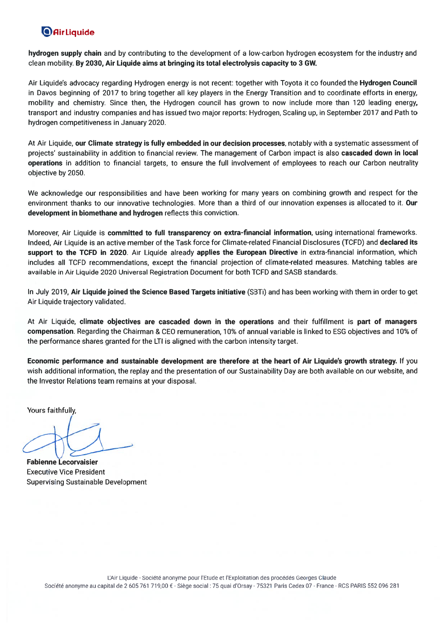## **O** Air Liquide

hydrogen supply chain and by contributing to the development of a low-carbon hydrogen ecosystem for the industry and clean mobility. By 2030, Air Liquide aims at bringing its total electrolysis capacity to 3 GW.

Air Liquide's advocacy regarding Hydrogen energy is not recent: together with Toyota it co founded the Hydrogen Council in Davos beginning of 2017 to bring together all key players in the Energy Transition and to coordinate efforts in energy, mobility and chemistry. Since then, the Hydrogen council has grown to now include more than 120 leading energy, transport and industry companies and has issued two major reports: Hydrogen, Scaling up, in September 2017 and Path to hydrogen competitiveness in January 2020.

At Air Liquide, our Climate strategy is fully embedded in our decision processes, notably with a systematic assessment of projects' sustainability in addition to financial review. The management of Carbon impact is also cascaded down in local operations in addition to financial targets, to ensure the full involvement of employees to reach our Carbon neutrality objective by 2050.

We acknowledge our responsibilities and have been working for many years on combining growth and respect for the environment thanks to our innovative technologies. More than a third of our innovation expenses is allocated to it. Our development in biomethane and hydrogen reflects this conviction.

Moreover, Air Liquide is committed to full transparency on extra-financial information, using international frameworks. Indeed, Air Liquide is an active member of the Task force for Climate-related Financial Disclosures (TCFD) and declared its support to the TCFD in 2020. Air Liquide already applies the European Directive in extra-financial information, which includes all TCFD recommendations, except the financial projection of climate-related measures. Matching tables are available in Air Liquide 2020 Universal Registration Document for both TCFD and SASB standards.

In July 2019, Air Liquide joined the Science Based Targets initiative (SBTi) and has been working with them in order to get Air Liquide trajectory validated.

At Air Liquide, climate objectives are cascaded down in the operations and their fulfillment is part of managers compensation. Regarding the Chairman & CEO remuneration, 10% of annual variable is linked to ESG objectives and 10% of the performance shares granted for the LTI is aligned with the carbon intensity target.

Economic performance and sustainable development are therefore at the heart of Air Liquide's growth strategy. If you wish additional information, the replay and the presentation of our Sustainability Day are both available on our website, and the Investor Relations team remains at your disposal.

Yours faithfully

**Fabienne Lecorvaisier Executive Vice President Supervising Sustainable Development**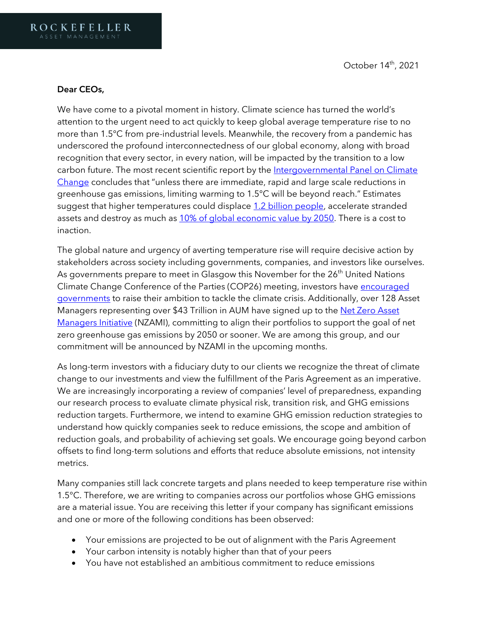## Dear CEOs,

We have come to a pivotal moment in history. Climate science has turned the world's attention to the urgent need to act quickly to keep global average temperature rise to no more than 1.5°C from pre-industrial levels. Meanwhile, the recovery from a pandemic has underscored the profound interconnectedness of our global economy, along with broad recognition that every sector, in every nation, will be impacted by the transition to a low carbon future. The most recent scientific report by the Intergovernmental Panel on Climate [Change](https://www.ipcc.ch/report/sixth-assessment-report-working-group-i/) concludes that "unless there are immediate, rapid and large scale reductions in greenhouse gas emissions, limiting warming to 1.5°C will be beyond reach." Estimates suggest that higher temperatures could displace [1.2 billion people,](https://www.theguardian.com/environment/2020/sep/09/climate-crisis-could-displace-12bn-people-by-2050-report-warns) accelerate stranded assets and destroy as much as [10% of global economic value by 2050.](https://www.swissre.com/institute/research/topics-and-risk-dialogues/climate-and-natural-catastrophe-risk/expertise-publication-economics-of-climate-change.html) There is a cost to inaction.

The global nature and urgency of averting temperature rise will require decisive action by stakeholders across society including governments, companies, and investors like ourselves. As governments prepare to meet in Glasgow this November for the  $26<sup>th</sup>$  United Nations Climate Change Conference of the Parties (COP26) meeting, investors have encouraged [governments](https://www.sophia.ac.jp/eng/news/u9gsah000004gcpb-att/2021_Global_Investor_Statement_EN.pdf) to raise their ambition to tackle the climate crisis. Additionally, over 128 Asset Managers representing over \$43 Trillion in AUM have signed up to the Net Zero Asset [Managers Initiative](https://www.netzeroassetmanagers.org/) (NZAMI), committing to align their portfolios to support the goal of net zero greenhouse gas emissions by 2050 or sooner. We are among this group, and our commitment will be announced by NZAMI in the upcoming months.

As long-term investors with a fiduciary duty to our clients we recognize the threat of climate change to our investments and view the fulfillment of the Paris Agreement as an imperative. We are increasingly incorporating a review of companies' level of preparedness, expanding our research process to evaluate climate physical risk, transition risk, and GHG emissions reduction targets. Furthermore, we intend to examine GHG emission reduction strategies to understand how quickly companies seek to reduce emissions, the scope and ambition of reduction goals, and probability of achieving set goals. We encourage going beyond carbon offsets to find long-term solutions and efforts that reduce absolute emissions, not intensity metrics.

Many companies still lack concrete targets and plans needed to keep temperature rise within 1.5°C. Therefore, we are writing to companies across our portfolios whose GHG emissions are a material issue. You are receiving this letter if your company has significant emissions and one or more of the following conditions has been observed:

- Your emissions are projected to be out of alignment with the Paris Agreement
- Your carbon intensity is notably higher than that of your peers
- You have not established an ambitious commitment to reduce emissions